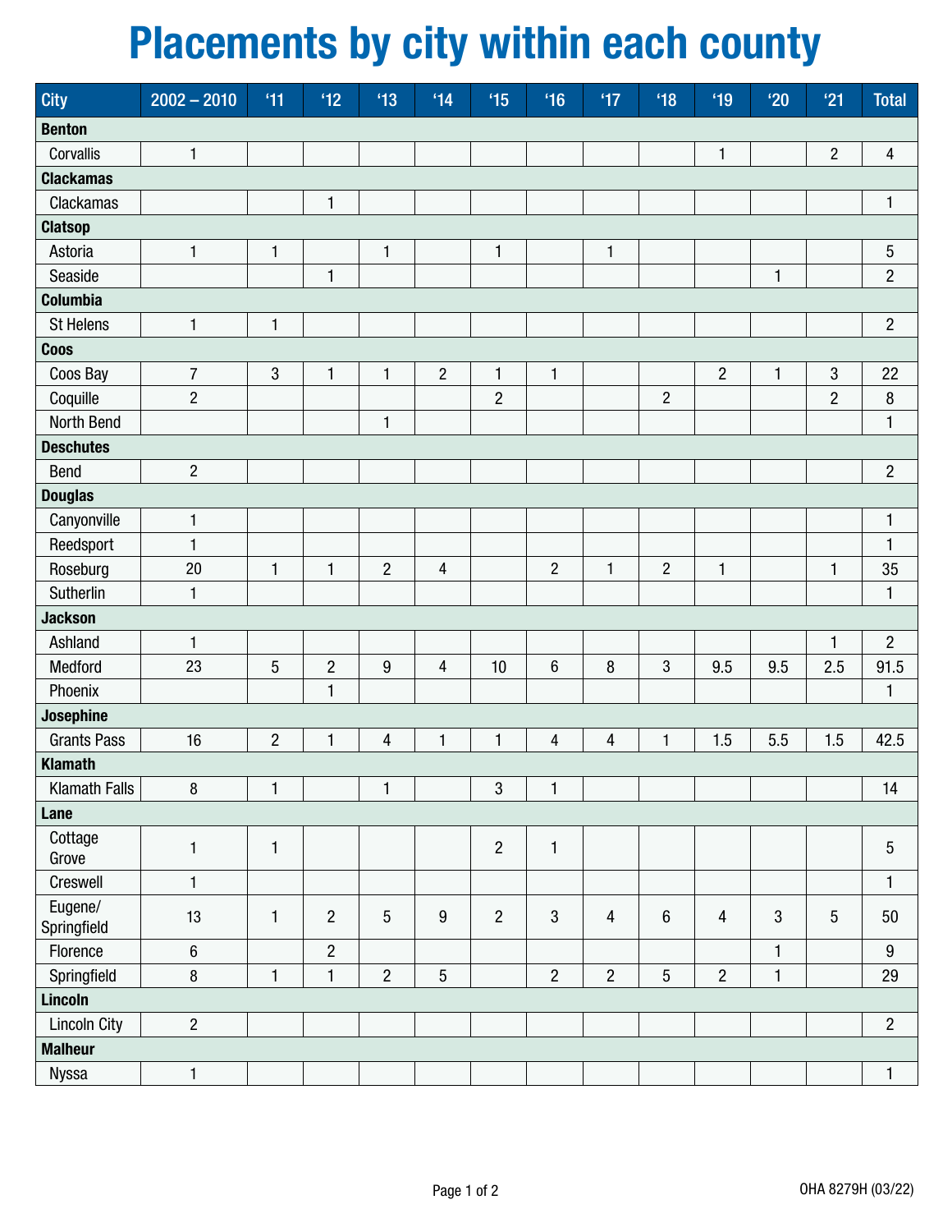## Placements by city within each county

| <b>City</b>            | $2002 - 2010$    | 41             | $^4$ 12        | $^4$ 13        | 14               | $^4$ 15        | $^4$ 16        | $^4$           | $^4$ 18        | $^4$ 19        | $^{\prime}20$ | '21             | <b>Total</b>            |
|------------------------|------------------|----------------|----------------|----------------|------------------|----------------|----------------|----------------|----------------|----------------|---------------|-----------------|-------------------------|
| <b>Benton</b>          |                  |                |                |                |                  |                |                |                |                |                |               |                 |                         |
| Corvallis              | $\mathbf{1}$     |                |                |                |                  |                |                |                |                | $\mathbf{1}$   |               | $\overline{2}$  | $\overline{\mathbf{4}}$ |
| <b>Clackamas</b>       |                  |                |                |                |                  |                |                |                |                |                |               |                 |                         |
| Clackamas              |                  |                | 1              |                |                  |                |                |                |                |                |               |                 | $\mathbf{1}$            |
| <b>Clatsop</b>         |                  |                |                |                |                  |                |                |                |                |                |               |                 |                         |
| Astoria                | $\mathbf{1}$     | $\mathbf{1}$   |                | $\mathbf{1}$   |                  | $\mathbf{1}$   |                | $\mathbf{1}$   |                |                |               |                 | $\mathbf 5$             |
| Seaside                |                  |                | 1              |                |                  |                |                |                |                |                | 1             |                 | $\overline{2}$          |
| <b>Columbia</b>        |                  |                |                |                |                  |                |                |                |                |                |               |                 |                         |
| <b>St Helens</b>       | 1                | $\mathbf{1}$   |                |                |                  |                |                |                |                |                |               |                 | $\overline{2}$          |
| Coos                   |                  |                |                |                |                  |                |                |                |                |                |               |                 |                         |
| Coos Bay               | $\boldsymbol{7}$ | $\mathbf{3}$   | 1              | $\mathbf{1}$   | $\sqrt{2}$       | $\mathbf{1}$   | $\mathbf{1}$   |                |                | $\overline{2}$ | 1             | $\sqrt{3}$      | 22                      |
| Coquille               | $\overline{2}$   |                |                |                |                  | $\overline{2}$ |                |                | $\overline{c}$ |                |               | $\overline{2}$  | $\, 8$                  |
| North Bend             |                  |                |                | $\mathbf{1}$   |                  |                |                |                |                |                |               |                 | $\mathbf{1}$            |
| <b>Deschutes</b>       |                  |                |                |                |                  |                |                |                |                |                |               |                 |                         |
| Bend                   | $\overline{2}$   |                |                |                |                  |                |                |                |                |                |               |                 | $\overline{2}$          |
| <b>Douglas</b>         |                  |                |                |                |                  |                |                |                |                |                |               |                 |                         |
| Canyonville            | $\mathbf{1}$     |                |                |                |                  |                |                |                |                |                |               |                 | $\mathbf{1}$            |
| Reedsport              | $\mathbf{1}$     |                |                |                |                  |                |                |                |                |                |               |                 | $\mathbf{1}$            |
| Roseburg               | 20               | $\mathbf{1}$   | $\mathbf{1}$   | $\overline{2}$ | $\overline{4}$   |                | $\overline{2}$ | $\mathbf{1}$   | $\overline{c}$ | $\mathbf{1}$   |               | $\mathbf{1}$    | 35                      |
| Sutherlin              | $\mathbf{1}$     |                |                |                |                  |                |                |                |                |                |               |                 | $\mathbf{1}$            |
| <b>Jackson</b>         |                  |                |                |                |                  |                |                |                |                |                |               |                 |                         |
| Ashland                | $\mathbf{1}$     |                |                |                |                  |                |                |                |                |                |               | 1               | $\overline{2}$          |
| Medford                | 23               | $\overline{5}$ | $\overline{c}$ | $9\,$          | $\overline{4}$   | 10             | $\,6\,$        | 8              | 3              | 9.5            | 9.5           | 2.5             | 91.5                    |
| Phoenix                |                  |                | $\mathbf{1}$   |                |                  |                |                |                |                |                |               |                 | $\mathbf{1}$            |
| Josephine              |                  |                |                |                |                  |                |                |                |                |                |               |                 |                         |
| <b>Grants Pass</b>     | 16               | $\overline{c}$ | 1              | $\overline{4}$ | $\mathbf{1}$     | $\mathbf{1}$   | $\overline{4}$ | 4              | 1              | 1.5            | 5.5           | 1.5             | 42.5                    |
| <b>Klamath</b>         |                  |                |                |                |                  |                |                |                |                |                |               |                 |                         |
| Klamath Falls          | $\, 8$           | $\mathbf{1}$   |                | 1              |                  | $\sqrt{3}$     | 1              |                |                |                |               |                 | $14$                    |
| Lane                   |                  |                |                |                |                  |                |                |                |                |                |               |                 |                         |
| Cottage<br>Grove       | $\mathbf{1}$     | 1              |                |                |                  | $\overline{2}$ | 1              |                |                |                |               |                 | $\sqrt{5}$              |
| Creswell               | $\mathbf{1}$     |                |                |                |                  |                |                |                |                |                |               |                 | $\mathbf{1}$            |
| Eugene/<br>Springfield | 13               | $\mathbf{1}$   | $\overline{2}$ | $5\,$          | $\boldsymbol{9}$ | $\overline{2}$ | 3              | $\overline{4}$ | $6\,$          | 4              | 3             | $5\phantom{.0}$ | 50                      |
| Florence               | $\,6\,$          |                | $\overline{2}$ |                |                  |                |                |                |                |                | 1             |                 | $\boldsymbol{9}$        |
| Springfield            | $\, 8$           | $\mathbf{1}$   | $\mathbf{1}$   | $\overline{2}$ | $5\,$            |                | $\overline{2}$ | $\overline{2}$ | $\overline{5}$ | $\overline{c}$ | $\mathbf{1}$  |                 | 29                      |
| Lincoln                |                  |                |                |                |                  |                |                |                |                |                |               |                 |                         |
| <b>Lincoln City</b>    | $\overline{2}$   |                |                |                |                  |                |                |                |                |                |               |                 | $\overline{2}$          |
| <b>Malheur</b>         |                  |                |                |                |                  |                |                |                |                |                |               |                 |                         |
| <b>Nyssa</b>           | $\mathbf{1}$     |                |                |                |                  |                |                |                |                |                |               |                 | $\mathbf{1}$            |